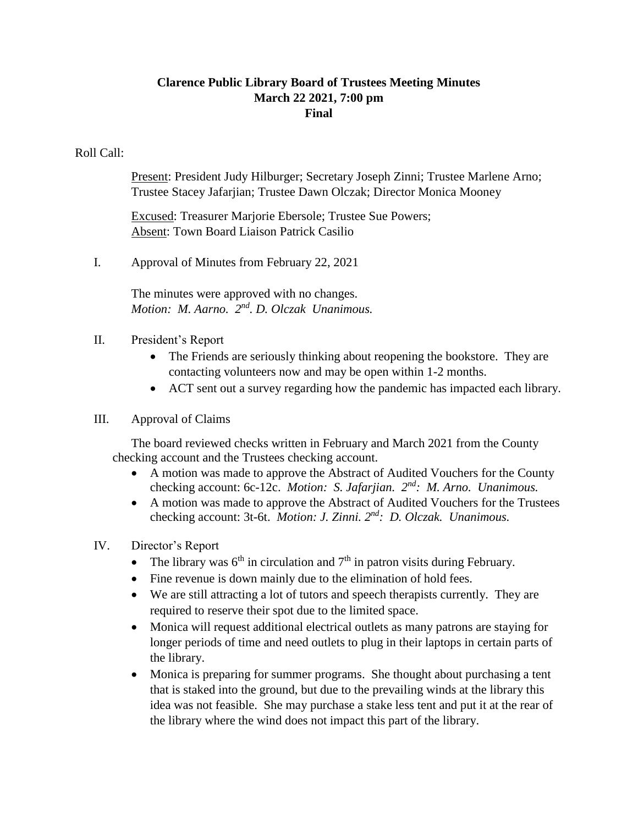# **Clarence Public Library Board of Trustees Meeting Minutes March 22 2021, 7:00 pm Final**

#### Roll Call:

Present: President Judy Hilburger; Secretary Joseph Zinni; Trustee Marlene Arno; Trustee Stacey Jafarjian; Trustee Dawn Olczak; Director Monica Mooney

Excused: Treasurer Marjorie Ebersole; Trustee Sue Powers; Absent: Town Board Liaison Patrick Casilio

I. Approval of Minutes from February 22, 2021

The minutes were approved with no changes. *Motion: M. Aarno. 2nd . D. Olczak Unanimous.*

- II. President's Report
	- The Friends are seriously thinking about reopening the bookstore. They are contacting volunteers now and may be open within 1-2 months.
	- ACT sent out a survey regarding how the pandemic has impacted each library.

#### III. Approval of Claims

The board reviewed checks written in February and March 2021 from the County checking account and the Trustees checking account.

- A motion was made to approve the Abstract of Audited Vouchers for the County checking account: 6c-12c. *Motion: S. Jafarjian.* 2<sup>nd</sup>: M. Arno. Unanimous.
- A motion was made to approve the Abstract of Audited Vouchers for the Trustees checking account: 3t-6t. *Motion: J. Zinni.*  $2^{nd}$ : *D. Olczak. Unanimous.*

# IV. Director's Report

- The library was  $6<sup>th</sup>$  in circulation and  $7<sup>th</sup>$  in patron visits during February.
- Fine revenue is down mainly due to the elimination of hold fees.
- We are still attracting a lot of tutors and speech therapists currently. They are required to reserve their spot due to the limited space.
- Monica will request additional electrical outlets as many patrons are staying for longer periods of time and need outlets to plug in their laptops in certain parts of the library.
- Monica is preparing for summer programs. She thought about purchasing a tent that is staked into the ground, but due to the prevailing winds at the library this idea was not feasible. She may purchase a stake less tent and put it at the rear of the library where the wind does not impact this part of the library.